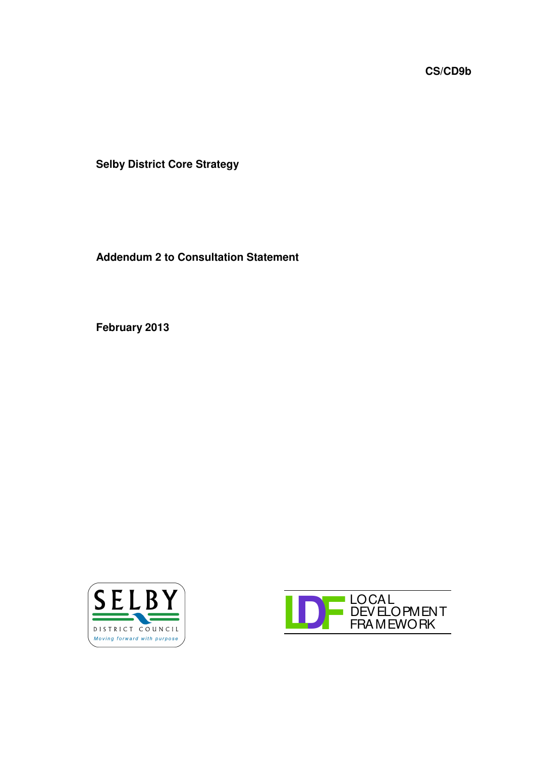**CS/CD9b**

**Selby District Core Strategy**

**Addendum 2 to Consultation Statement**

**February 2013**



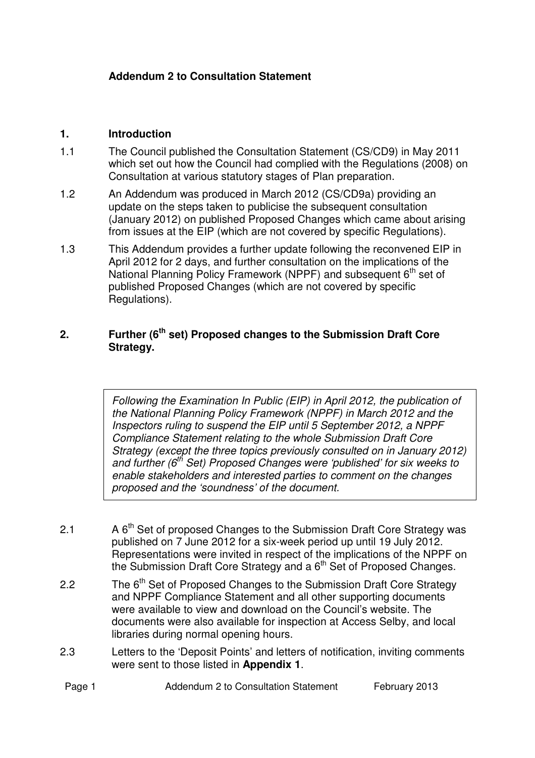## **Addendum 2 to Consultation Statement**

## **1. Introduction**

- 1.1 The Council published the Consultation Statement (CS/CD9) in May 2011 which set out how the Council had complied with the Regulations (2008) on Consultation at various statutory stages of Plan preparation.
- 1.2 An Addendum was produced in March 2012 (CS/CD9a) providing an update on the steps taken to publicise the subsequent consultation (January 2012) on published Proposed Changes which came about arising from issues at the EIP (which are not covered by specific Regulations).
- 1.3 This Addendum provides a further update following the reconvened EIP in April 2012 for 2 days, and further consultation on the implications of the National Planning Policy Framework (NPPF) and subsequent 6<sup>th</sup> set of published Proposed Changes (which are not covered by specific Regulations).

## **2. Further (6 th set) Proposed changes to the Submission Draft Core Strategy.**

*Following the Examination In Public (EIP) in April 2012, the publication of the National Planning Policy Framework (NPPF) in March 2012 and the Inspectors ruling to suspend the EIP until 5 September 2012, a NPPF Compliance Statement relating to the whole Submission Draft Core Strategy (except the three topics previously consulted on in January 2012) and further (6 th Set) Proposed Changes were 'published' for six weeks to enable stakeholders and interested parties to comment on the changes proposed and the 'soundness' of the document.*

- 2.1 A 6<sup>th</sup> Set of proposed Changes to the Submission Draft Core Strategy was published on 7 June 2012 for a six-week period up until 19 July 2012. Representations were invited in respect of the implications of the NPPF on the Submission Draft Core Strategy and a 6<sup>th</sup> Set of Proposed Changes.
- 2.2 The 6<sup>th</sup> Set of Proposed Changes to the Submission Draft Core Strategy and NPPF Compliance Statement and all other supporting documents were available to view and download on the Council's website. The documents were also available for inspection at Access Selby, and local libraries during normal opening hours.
- 2.3 Letters to the 'Deposit Points' and letters of notification, inviting comments were sent to those listed in **Appendix 1**.

| Page 1<br>Addendum 2 to Consultation Statement | February 2013 |
|------------------------------------------------|---------------|
|------------------------------------------------|---------------|